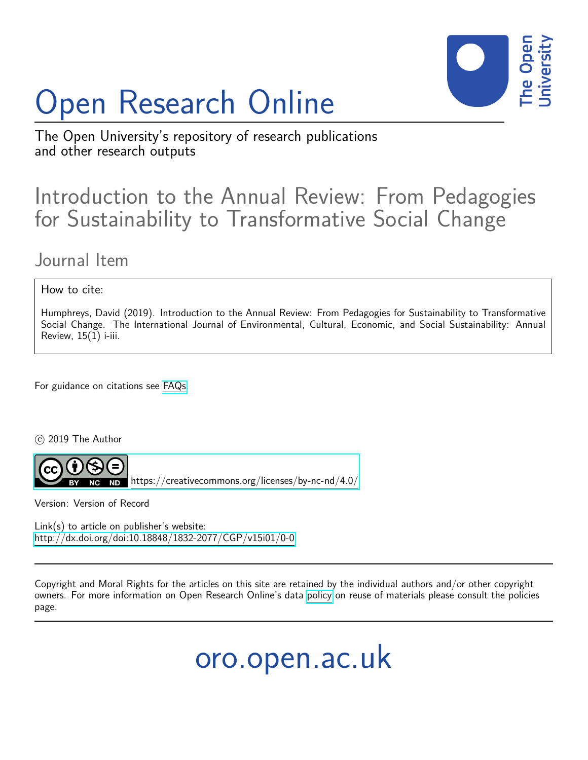# Open Research Online



The Open University's repository of research publications and other research outputs

# Introduction to the Annual Review: From Pedagogies for Sustainability to Transformative Social Change

## Journal Item

## How to cite:

Humphreys, David (2019). Introduction to the Annual Review: From Pedagogies for Sustainability to Transformative Social Change. The International Journal of Environmental, Cultural, Economic, and Social Sustainability: Annual Review,  $15(1)$  i-iii.

For guidance on citations see [FAQs.](http://oro.open.ac.uk/help/helpfaq.html)

 $(c)$  2019 The Author



<https://creativecommons.org/licenses/by-nc-nd/4.0/>

Version: Version of Record

Link(s) to article on publisher's website: <http://dx.doi.org/doi:10.18848/1832-2077/CGP/v15i01/0-0>

Copyright and Moral Rights for the articles on this site are retained by the individual authors and/or other copyright owners. For more information on Open Research Online's data [policy](http://oro.open.ac.uk/policies.html) on reuse of materials please consult the policies page.

oro.open.ac.uk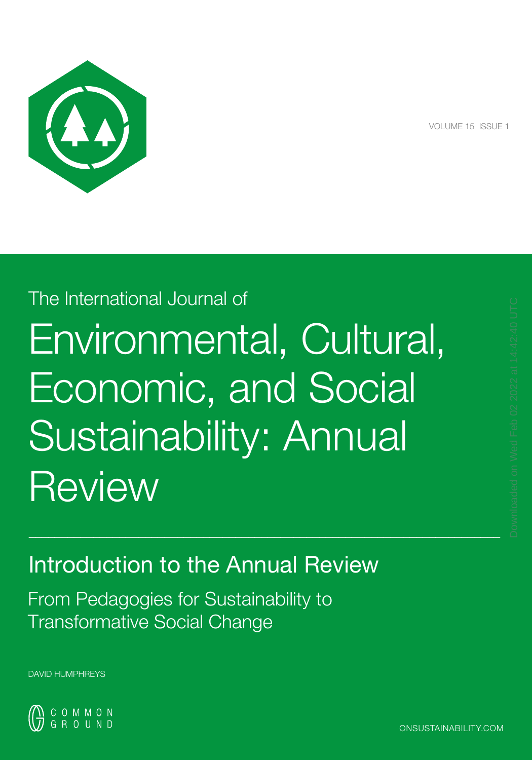

VOLUME 15 ISSUE 1

# The International Journal of Environmental, Cultural, Economic, and Social Sustainability: Annual **Review**

 $\_$  , and the set of the set of the set of the set of the set of the set of the set of the set of the set of the set of the set of the set of the set of the set of the set of the set of the set of the set of the set of th

Introduction to the Annual Review

From Pedagogies for Sustainability to Transformative Social Change

DAVID HUMPHREYS

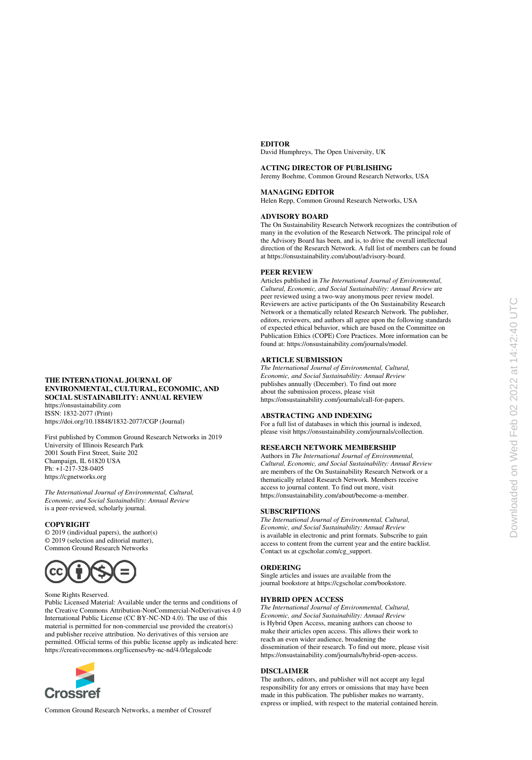#### **EDITOR**

David Humphreys, The Open University, UK

#### **ACTING DIRECTOR OF PUBLISHING**

Jeremy Boehme, Common Ground Research Networks, USA

#### **MANAGING EDITOR**

Helen Repp, Common Ground Research Networks, USA

#### **ADVISORY BOARD**

The On Sustainability Research Network recognizes the contribution of many in the evolution of the Research Network. The principal role of the Advisory Board has been, and is, to drive the overall intellectual direction of the Research Network. A full list of members can be found at https://onsustainability.com/about/advisory-board.

#### **PEER REVIEW**

Articles published in *The International Journal of Environmental, Cultural, Economic, and Social Sustainability: Annual Review* are peer reviewed using a two-way anonymous peer review model. Reviewers are active participants of the On Sustainability Research Network or a thematically related Research Network. The publisher, editors, reviewers, and authors all agree upon the following standards of expected ethical behavior, which are based on the Committee on Publication Ethics (COPE) Core Practices. More information can be found at: https://onsustainability.com/journals/model.

#### **ARTICLE SUBMISSION**

*The International Journal of Environmental, Cultural, Economic, and Social Sustainability: Annual Review* publishes annually (December). To find out more about the submission process, please visit https://onsustainability.com/journals/call-for-papers.

#### **ABSTRACTING AND INDEXING**

For a full list of databases in which this journal is indexed, please visit https://onsustainability.com/journals/collection.

#### **RESEARCH NETWORK MEMBERSHIP**

Authors in *The International Journal of Environmental, Cultural, Economic, and Social Sustainability: Annual Review* are members of the On Sustainability Research Network or a thematically related Research Network. Members receive access to journal content. To find out more, visit https://onsustainability.com/about/become-a-member.

#### **SUBSCRIPTIONS**

*The International Journal of Environmental, Cultural, Economic, and Social Sustainability: Annual Review* is available in electronic and print formats. Subscribe to gain access to content from the current year and the entire backlist. Contact us at cgscholar.com/cg\_support.

#### **ORDERING**

Single articles and issues are available from the journal bookstore at https://cgscholar.com/bookstore.

#### **HYBRID OPEN ACCESS**

*The International Journal of Environmental, Cultural, Economic, and Social Sustainability: Annual Review* is Hybrid Open Access, meaning authors can choose to make their articles open access. This allows their work to reach an even wider audience, broadening the dissemination of their research. To find out more, please visit https://onsustainability.com/journals/hybrid-open-access.

#### **DISCLAIMER**

The authors, editors, and publisher will not accept any legal responsibility for any errors or omissions that may have been made in this publication. The publisher makes no warranty, express or implied, with respect to the material contained herein.

#### **THE INTERNATIONAL JOURNAL OF ENVIRONMENTAL, CULTURAL, ECONOMIC, AND SOCIAL SUSTAINABILITY: ANNUAL REVIEW** https://onsustainability.com

ISSN: 1832-2077 (Print) https://doi.org/10.18848/1832-2077/CGP (Journal)

First published by Common Ground Research Networks in 2019 University of Illinois Research Park 2001 South First Street, Suite 202 Champaign, IL 61820 USA Ph: +1-217-328-0405 https://cgnetworks.org

*The International Journal of Environmental, Cultural, Economic, and Social Sustainability: Annual Review* is a peer-reviewed, scholarly journal.

#### **COPYRIGHT**

© 2019 (individual papers), the author(s) © 2019 (selection and editorial matter), Common Ground Research Networks



#### Some Rights Reserved.

Public Licensed Material: Available under the terms and conditions of the Creative Commons Attribution-NonCommercial-NoDerivatives 4.0 International Public License (CC BY-NC-ND 4.0). The use of this material is permitted for non-commercial use provided the creator(s) and publisher receive attribution. No derivatives of this version are permitted. Official terms of this public license apply as indicated here: https://creativecommons.org/licenses/by-nc-nd/4.0/legalcode



Common Ground Research Networks, a member of Crossref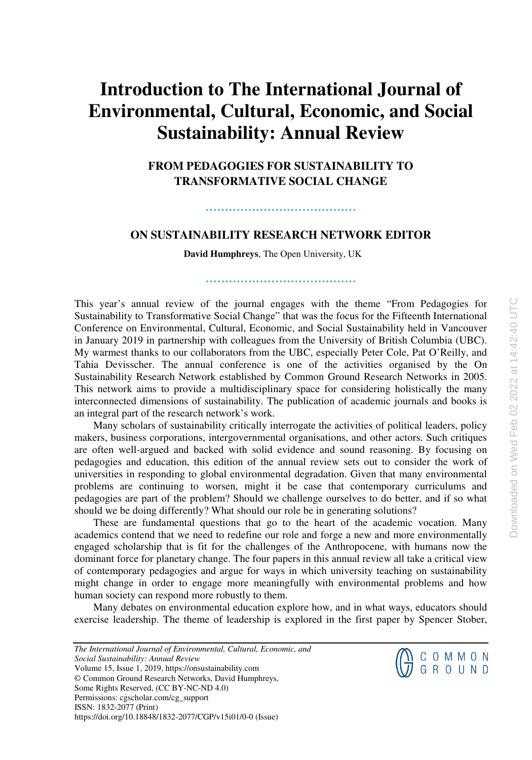## **Introduction to The International Journal of Environmental, Cultural, Economic, and Social Sustainability: Annual Review**

**FROM PEDAGOGIES FOR SUSTAINABILITY TO TRANSFORMATIVE SOCIAL CHANGE** 

### **ON SUSTAINABILITY RESEARCH NETWORK EDITOR**

**…………………………………** 

**David Humphreys**, The Open University, UK

**…………………………………** 

This year's annual review of the journal engages with the theme "From Pedagogies for Sustainability to Transformative Social Change" that was the focus for the Fifteenth International Conference on Environmental, Cultural, Economic, and Social Sustainability held in Vancouver in January 2019 in partnership with colleagues from the University of British Columbia (UBC). My warmest thanks to our collaborators from the UBC, especially Peter Cole, Pat O'Reilly, and Tahia Devisscher. The annual conference is one of the activities organised by the On Sustainability Research Network established by Common Ground Research Networks in 2005. This network aims to provide a multidisciplinary space for considering holistically the many interconnected dimensions of sustainability. The publication of academic journals and books is an integral part of the research network's work.

Many scholars of sustainability critically interrogate the activities of political leaders, policy makers, business corporations, intergovernmental organisations, and other actors. Such critiques are often well-argued and backed with solid evidence and sound reasoning. By focusing on pedagogies and education, this edition of the annual review sets out to consider the work of universities in responding to global environmental degradation. Given that many environmental problems are continuing to worsen, might it be case that contemporary curriculums and pedagogies are part of the problem? Should we challenge ourselves to do better, and if so what should we be doing differently? What should our role be in generating solutions?

These are fundamental questions that go to the heart of the academic vocation. Many academics contend that we need to redefine our role and forge a new and more environmentally engaged scholarship that is fit for the challenges of the Anthropocene, with humans now the dominant force for planetary change. The four papers in this annual review all take a critical view of contemporary pedagogies and argue for ways in which university teaching on sustainability might change in order to engage more meaningfully with environmental problems and how human society can respond more robustly to them.

Many debates on environmental education explore how, and in what ways, educators should exercise leadership. The theme of leadership is explored in the first paper by Spencer Stober,

*The International Journal of Environmental, Cultural, Economic, and Social Sustainability: Annual Review* Volume 15, Issue 1, 2019, https://onsustainability.com © Common Ground Research Networks, David Humphreys, Some Rights Reserved, (CC BY-NC-ND 4.0) Permissions: cgscholar.com/cg\_support ISSN: 1832-2077 (Print) https://doi.org/10.18848/1832-2077/CGP/v15i01/0-0 (Issue)

 $\bigoplus_{J}^{D}$  COMMON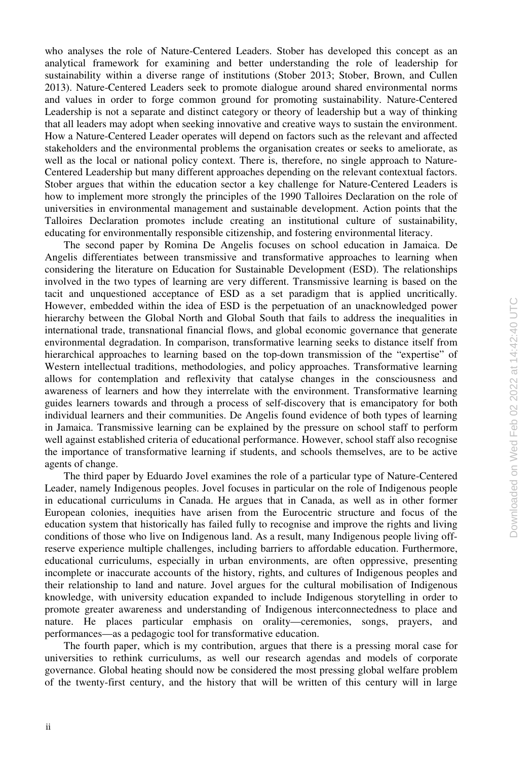who analyses the role of Nature-Centered Leaders. Stober has developed this concept as an analytical framework for examining and better understanding the role of leadership for sustainability within a diverse range of institutions (Stober 2013; Stober, Brown, and Cullen 2013). Nature-Centered Leaders seek to promote dialogue around shared environmental norms and values in order to forge common ground for promoting sustainability. Nature-Centered Leadership is not a separate and distinct category or theory of leadership but a way of thinking that all leaders may adopt when seeking innovative and creative ways to sustain the environment. How a Nature-Centered Leader operates will depend on factors such as the relevant and affected stakeholders and the environmental problems the organisation creates or seeks to ameliorate, as well as the local or national policy context. There is, therefore, no single approach to Nature-Centered Leadership but many different approaches depending on the relevant contextual factors. Stober argues that within the education sector a key challenge for Nature-Centered Leaders is how to implement more strongly the principles of the 1990 Talloires Declaration on the role of universities in environmental management and sustainable development. Action points that the Talloires Declaration promotes include creating an institutional culture of sustainability, educating for environmentally responsible citizenship, and fostering environmental literacy.

The second paper by Romina De Angelis focuses on school education in Jamaica. De Angelis differentiates between transmissive and transformative approaches to learning when considering the literature on Education for Sustainable Development (ESD). The relationships involved in the two types of learning are very different. Transmissive learning is based on the tacit and unquestioned acceptance of ESD as a set paradigm that is applied uncritically. However, embedded within the idea of ESD is the perpetuation of an unacknowledged power hierarchy between the Global North and Global South that fails to address the inequalities in international trade, transnational financial flows, and global economic governance that generate environmental degradation. In comparison, transformative learning seeks to distance itself from hierarchical approaches to learning based on the top-down transmission of the "expertise" of Western intellectual traditions, methodologies, and policy approaches. Transformative learning allows for contemplation and reflexivity that catalyse changes in the consciousness and awareness of learners and how they interrelate with the environment. Transformative learning guides learners towards and through a process of self-discovery that is emancipatory for both individual learners and their communities. De Angelis found evidence of both types of learning in Jamaica. Transmissive learning can be explained by the pressure on school staff to perform well against established criteria of educational performance. However, school staff also recognise the importance of transformative learning if students, and schools themselves, are to be active agents of change.

The third paper by Eduardo Jovel examines the role of a particular type of Nature-Centered Leader, namely Indigenous peoples. Jovel focuses in particular on the role of Indigenous people in educational curriculums in Canada. He argues that in Canada, as well as in other former European colonies, inequities have arisen from the Eurocentric structure and focus of the education system that historically has failed fully to recognise and improve the rights and living conditions of those who live on Indigenous land. As a result, many Indigenous people living offreserve experience multiple challenges, including barriers to affordable education. Furthermore, educational curriculums, especially in urban environments, are often oppressive, presenting incomplete or inaccurate accounts of the history, rights, and cultures of Indigenous peoples and their relationship to land and nature. Jovel argues for the cultural mobilisation of Indigenous knowledge, with university education expanded to include Indigenous storytelling in order to promote greater awareness and understanding of Indigenous interconnectedness to place and nature. He places particular emphasis on orality—ceremonies, songs, prayers, and performances—as a pedagogic tool for transformative education.

The fourth paper, which is my contribution, argues that there is a pressing moral case for universities to rethink curriculums, as well our research agendas and models of corporate governance. Global heating should now be considered the most pressing global welfare problem of the twenty-first century, and the history that will be written of this century will in large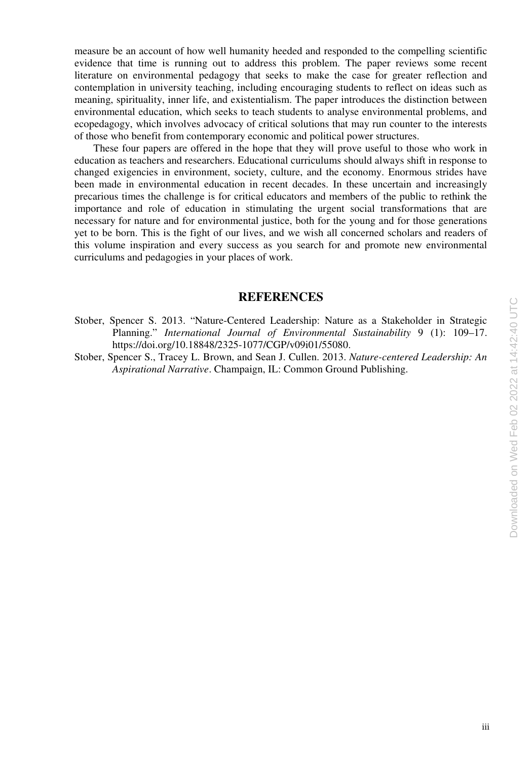measure be an account of how well humanity heeded and responded to the compelling scientific evidence that time is running out to address this problem. The paper reviews some recent literature on environmental pedagogy that seeks to make the case for greater reflection and contemplation in university teaching, including encouraging students to reflect on ideas such as meaning, spirituality, inner life, and existentialism. The paper introduces the distinction between environmental education, which seeks to teach students to analyse environmental problems, and ecopedagogy, which involves advocacy of critical solutions that may run counter to the interests of those who benefit from contemporary economic and political power structures.

These four papers are offered in the hope that they will prove useful to those who work in education as teachers and researchers. Educational curriculums should always shift in response to changed exigencies in environment, society, culture, and the economy. Enormous strides have been made in environmental education in recent decades. In these uncertain and increasingly precarious times the challenge is for critical educators and members of the public to rethink the importance and role of education in stimulating the urgent social transformations that are necessary for nature and for environmental justice, both for the young and for those generations yet to be born. This is the fight of our lives, and we wish all concerned scholars and readers of this volume inspiration and every success as you search for and promote new environmental curriculums and pedagogies in your places of work.

### **REFERENCES**

- Stober, Spencer S. 2013. "Nature-Centered Leadership: Nature as a Stakeholder in Strategic Planning." *International Journal of Environmental Sustainability* 9 (1): 109–17. https://doi.org/10.18848/2325-1077/CGP/v09i01/55080.
- Stober, Spencer S., Tracey L. Brown, and Sean J. Cullen. 2013. *Nature-centered Leadership: An Aspirational Narrative*. Champaign, IL: Common Ground Publishing.